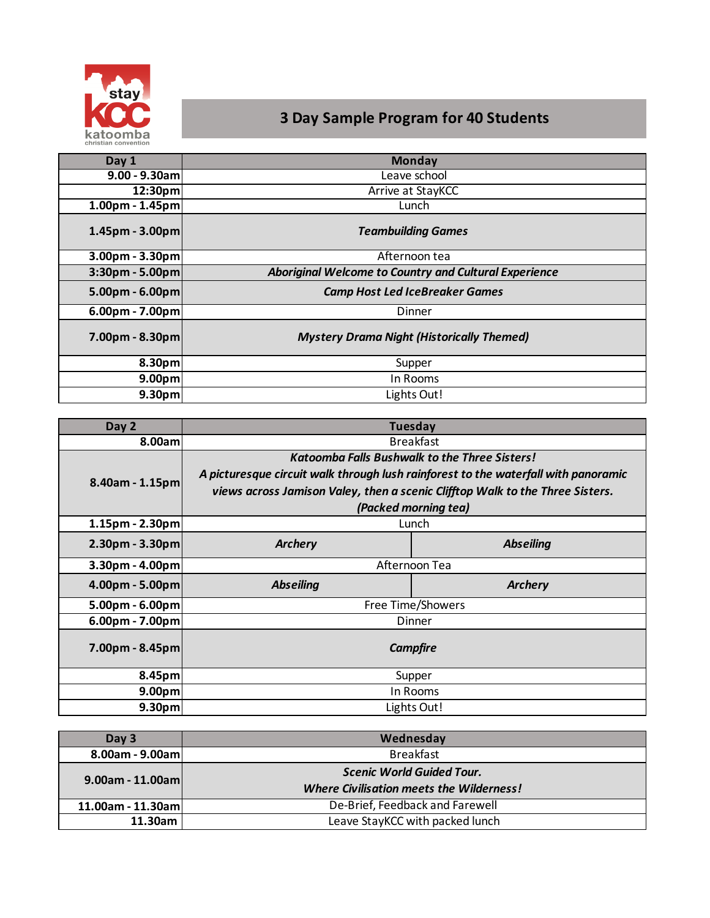

# **3 Day Sample Program for 40 Students**

| Day 1              | <b>Monday</b>                                         |  |
|--------------------|-------------------------------------------------------|--|
| $9.00 - 9.30$ am   | Leave school                                          |  |
| 12:30pm            | Arrive at StayKCC                                     |  |
| $1.00pm - 1.45pm$  | Lunch                                                 |  |
| $1.45$ pm - 3.00pm | <b>Teambuilding Games</b>                             |  |
| $3.00pm - 3.30pm$  | Afternoon tea                                         |  |
| $3:30pm - 5.00pm$  | Aboriginal Welcome to Country and Cultural Experience |  |
| $5.00pm - 6.00pm$  | <b>Camp Host Led IceBreaker Games</b>                 |  |
| $6.00pm - 7.00pm$  | Dinner                                                |  |
| $7.00pm - 8.30pm$  | <b>Mystery Drama Night (Historically Themed)</b>      |  |
| 8.30 <sub>pm</sub> | Supper                                                |  |
| 9.00 <sub>pm</sub> | In Rooms                                              |  |
| 9.30 <sub>pm</sub> | Lights Out!                                           |  |

| Day 2              | <b>Tuesday</b>                                                                     |                  |  |
|--------------------|------------------------------------------------------------------------------------|------------------|--|
| 8.00aml            | <b>Breakfast</b>                                                                   |                  |  |
| $8.40$ am - 1.15pm | <b>Katoomba Falls Bushwalk to the Three Sisters!</b>                               |                  |  |
|                    | A picturesque circuit walk through lush rainforest to the waterfall with panoramic |                  |  |
|                    | views across Jamison Valey, then a scenic Clifftop Walk to the Three Sisters.      |                  |  |
|                    | (Packed morning tea)                                                               |                  |  |
| $1.15$ pm - 2.30pm | Lunch                                                                              |                  |  |
| $2.30pm - 3.30pm$  | <b>Archery</b>                                                                     | <b>Abseiling</b> |  |
| $3.30pm - 4.00pm$  | Afternoon Tea                                                                      |                  |  |
| $4.00pm - 5.00pm$  | <b>Abseiling</b>                                                                   | <b>Archery</b>   |  |
| $5.00pm - 6.00pm$  | Free Time/Showers                                                                  |                  |  |
| $6.00pm - 7.00pm$  | Dinner                                                                             |                  |  |
| $7.00pm - 8.45pm$  | <b>Campfire</b>                                                                    |                  |  |
| 8.45pm             | Supper                                                                             |                  |  |
| 9.00 <sub>pm</sub> | In Rooms                                                                           |                  |  |
| 9.30 <sub>pm</sub> | Lights Out!                                                                        |                  |  |

| Day 3             | Wednesday                                                                           |  |
|-------------------|-------------------------------------------------------------------------------------|--|
| 8.00am - 9.00am   | <b>Breakfast</b>                                                                    |  |
| 9.00am - 11.00aml | <b>Scenic World Guided Tour.</b><br><b>Where Civilisation meets the Wilderness!</b> |  |
| 11.00am - 11.30am | De-Brief, Feedback and Farewell                                                     |  |
| 11.30am           | Leave StayKCC with packed lunch                                                     |  |